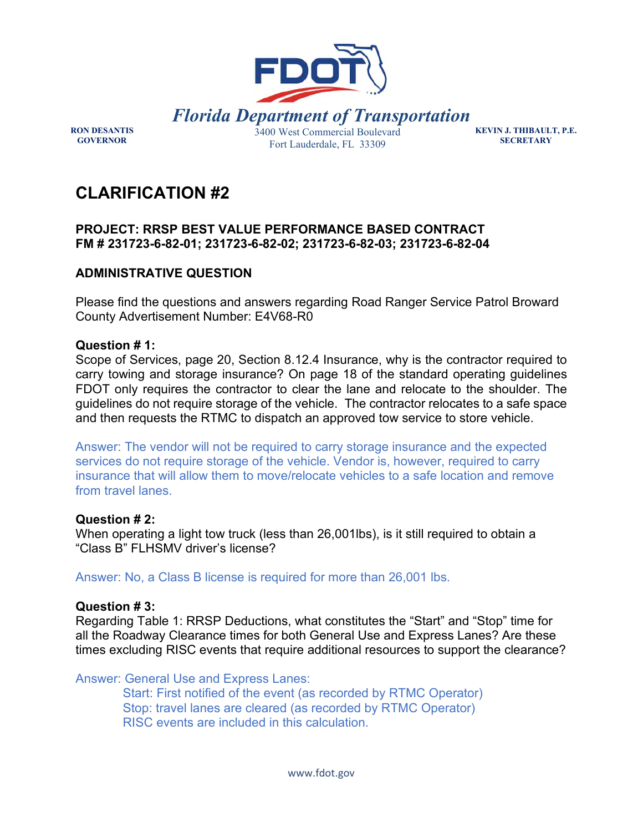

**KEVIN J. THIBAULT, P.E. SECRETARY** 

# **CLARIFICATION #2**

## **PROJECT: RRSP BEST VALUE PERFORMANCE BASED CONTRACT FM # 231723-6-82-01; 231723-6-82-02; 231723-6-82-03; 231723-6-82-04**

# **ADMINISTRATIVE QUESTION**

Please find the questions and answers regarding Road Ranger Service Patrol Broward County Advertisement Number: E4V68-R0

## **Question # 1:**

**RON DESANTIS GOVERNOR** 

Scope of Services, page 20, Section 8.12.4 Insurance, why is the contractor required to carry towing and storage insurance? On page 18 of the standard operating guidelines FDOT only requires the contractor to clear the lane and relocate to the shoulder. The guidelines do not require storage of the vehicle. The contractor relocates to a safe space and then requests the RTMC to dispatch an approved tow service to store vehicle.

Answer: The vendor will not be required to carry storage insurance and the expected services do not require storage of the vehicle. Vendor is, however, required to carry insurance that will allow them to move/relocate vehicles to a safe location and remove from travel lanes.

## **Question # 2:**

When operating a light tow truck (less than 26,001lbs), is it still required to obtain a "Class B" FLHSMV driver's license?

Answer: No, a Class B license is required for more than 26,001 lbs.

## **Question # 3:**

Regarding Table 1: RRSP Deductions, what constitutes the "Start" and "Stop" time for all the Roadway Clearance times for both General Use and Express Lanes? Are these times excluding RISC events that require additional resources to support the clearance?

Answer: General Use and Express Lanes:

Start: First notified of the event (as recorded by RTMC Operator) Stop: travel lanes are cleared (as recorded by RTMC Operator) RISC events are included in this calculation.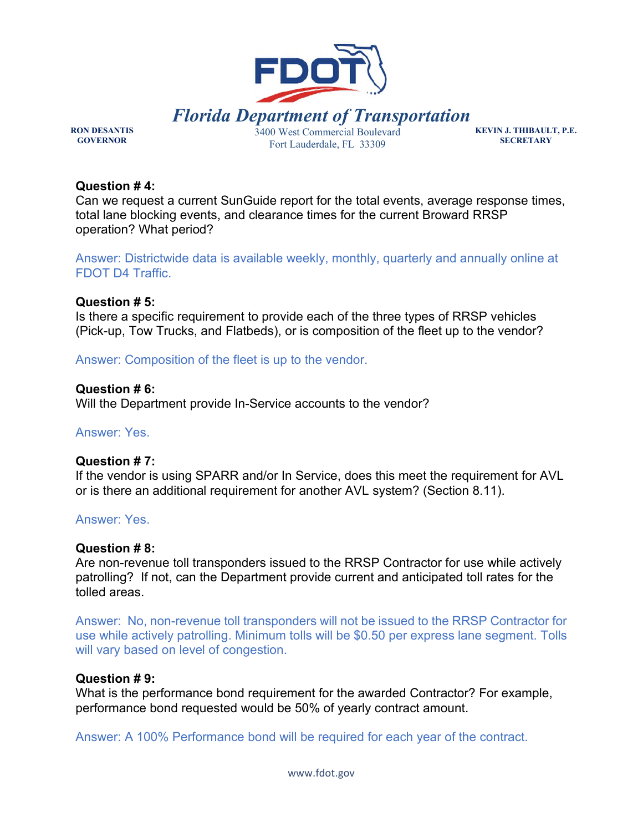

**RON DESANTIS GOVERNOR** 

**KEVIN J. THIBAULT, P.E. SECRETARY** 

#### **Question # 4:**

Can we request a current SunGuide report for the total events, average response times, total lane blocking events, and clearance times for the current Broward RRSP operation? What period?

Answer: Districtwide data is available weekly, monthly, quarterly and annually online at [FDOT D4 Traffic.](https://gcc02.safelinks.protection.outlook.com/?url=https%3A%2F%2Fwww.fdotd4traffic.com%2F%23%2Fapp%2Fmetrics&data=04%7C01%7CMaria.Velarde%40dot.state.fl.us%7C969814dd738343eb84d008d99e3d5f6c%7Cdb21de5dbc9c420c8f3f8f08f85b5ada%7C0%7C0%7C637714808688205062%7CUnknown%7CTWFpbGZsb3d8eyJWIjoiMC4wLjAwMDAiLCJQIjoiV2luMzIiLCJBTiI6Ik1haWwiLCJXVCI6Mn0%3D%7C1000&sdata=1CuJZ76T%2FAtnaMV3T714cChBkt4bjw%2BXlOxLFeLDblE%3D&reserved=0)

#### **Question # 5:**

Is there a specific requirement to provide each of the three types of RRSP vehicles (Pick-up, Tow Trucks, and Flatbeds), or is composition of the fleet up to the vendor?

Answer: Composition of the fleet is up to the vendor.

## **Question # 6:**

Will the Department provide In-Service accounts to the vendor?

## Answer: Yes.

#### **Question # 7:**

If the vendor is using SPARR and/or In Service, does this meet the requirement for AVL or is there an additional requirement for another AVL system? (Section 8.11).

## Answer: Yes.

#### **Question # 8:**

Are non-revenue toll transponders issued to the RRSP Contractor for use while actively patrolling? If not, can the Department provide current and anticipated toll rates for the tolled areas.

Answer: No, non-revenue toll transponders will not be issued to the RRSP Contractor for use while actively patrolling. Minimum tolls will be \$0.50 per express lane segment. Tolls will vary based on level of congestion.

#### **Question # 9:**

What is the performance bond requirement for the awarded Contractor? For example, performance bond requested would be 50% of yearly contract amount.

Answer: A 100% Performance bond will be required for each year of the contract.